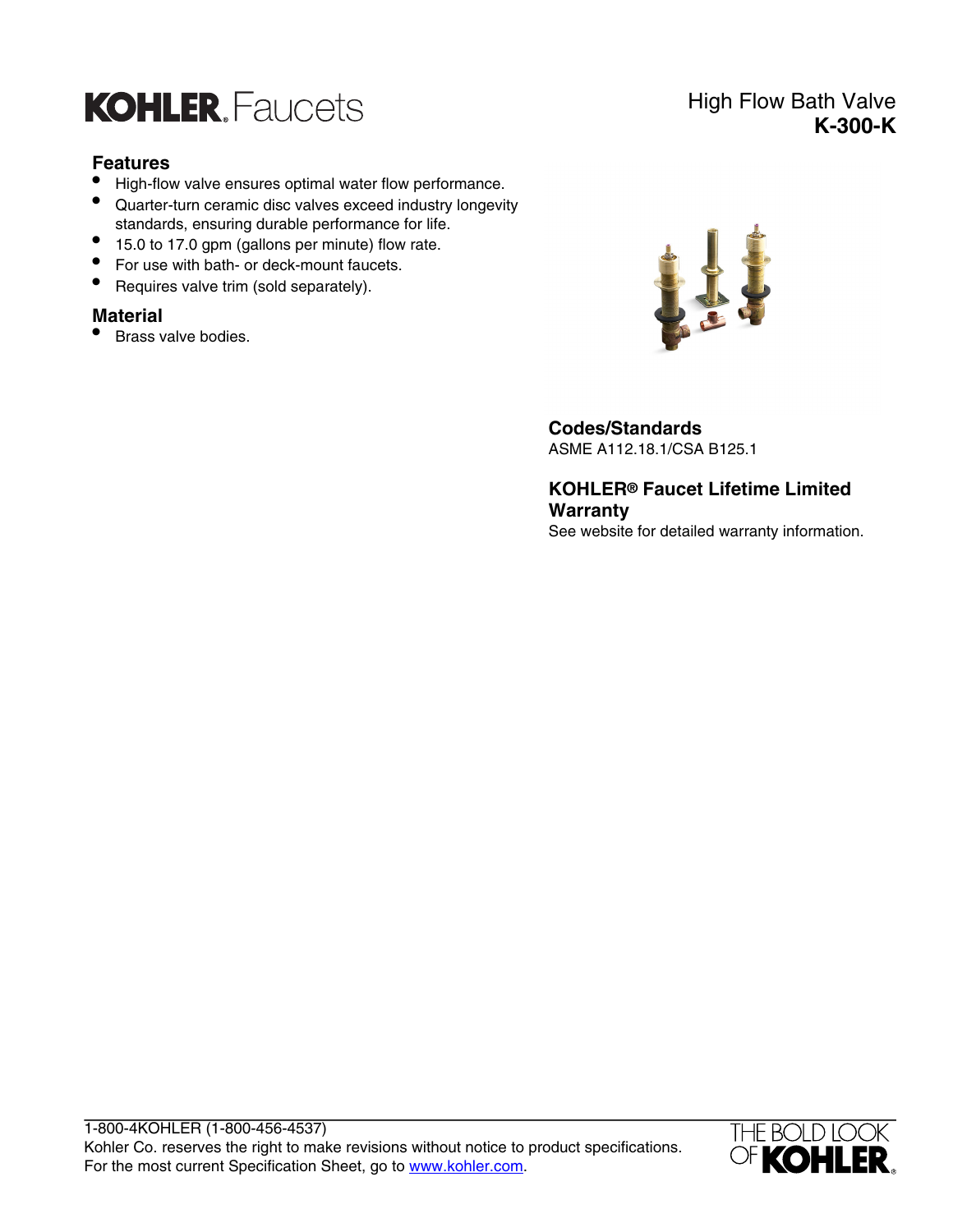

#### **Features**

- High-flow valve ensures optimal water flow performance.
- Quarter-turn ceramic disc valves exceed industry longevity standards, ensuring durable performance for life.
- 15.0 to 17.0 gpm (gallons per minute) flow rate.
- For use with bath- or deck-mount faucets.
- Requires valve trim (sold separately).

#### **Material**

• Brass valve bodies.



**Codes/Standards**

ASME A112.18.1/CSA B125.1

**KOHLER® Faucet Lifetime Limited Warranty** See website for detailed warranty information.



## High Flow Bath Valve **K-300-K**